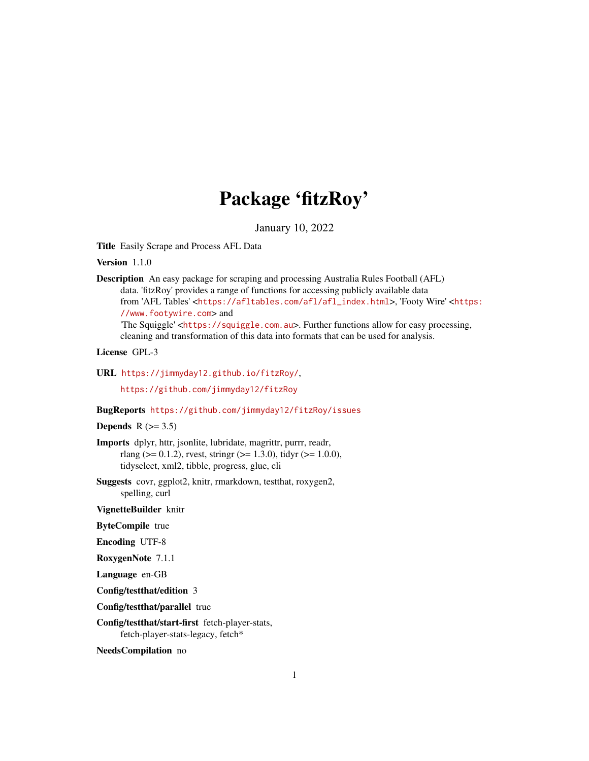# Package 'fitzRoy'

January 10, 2022

Title Easily Scrape and Process AFL Data

Version 1.1.0

Description An easy package for scraping and processing Australia Rules Football (AFL) data. 'fitzRoy' provides a range of functions for accessing publicly available data from 'AFL Tables' <[https://afltables.com/afl/afl\\_index.html](https://afltables.com/afl/afl_index.html)>, 'Footy Wire' <[https:](https://www.footywire.com) [//www.footywire.com](https://www.footywire.com)> and

'The Squiggle' <<https://squiggle.com.au>>. Further functions allow for easy processing, cleaning and transformation of this data into formats that can be used for analysis.

### License GPL-3

URL <https://jimmyday12.github.io/fitzRoy/>,

<https://github.com/jimmyday12/fitzRoy>

#### BugReports <https://github.com/jimmyday12/fitzRoy/issues>

#### Depends  $R$  ( $>= 3.5$ )

Imports dplyr, httr, jsonlite, lubridate, magrittr, purrr, readr, rlang ( $> = 0.1.2$ ), rvest, stringr ( $> = 1.3.0$ ), tidyr ( $> = 1.0.0$ ), tidyselect, xml2, tibble, progress, glue, cli

Suggests covr, ggplot2, knitr, rmarkdown, testthat, roxygen2, spelling, curl

VignetteBuilder knitr

ByteCompile true

Encoding UTF-8

RoxygenNote 7.1.1

Language en-GB

Config/testthat/edition 3

Config/testthat/parallel true

Config/testthat/start-first fetch-player-stats, fetch-player-stats-legacy, fetch\*

NeedsCompilation no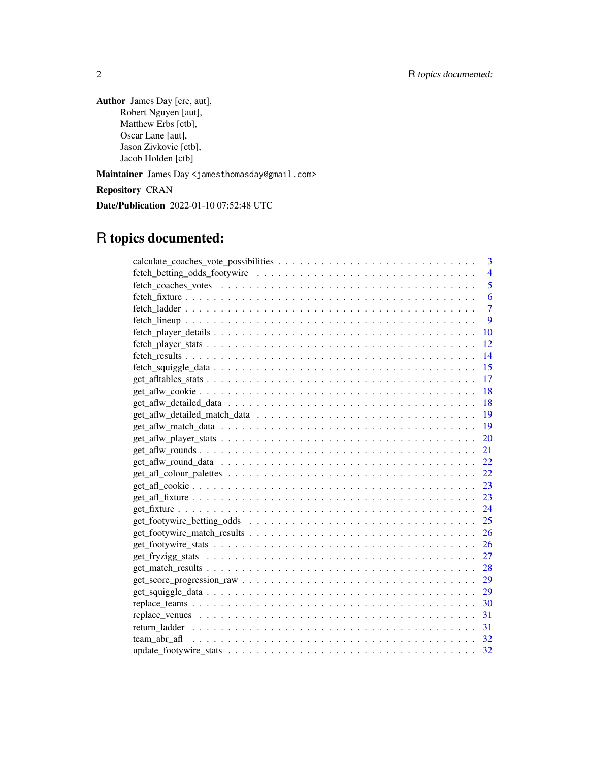Author James Day [cre, aut], Robert Nguyen [aut], Matthew Erbs [ctb], Oscar Lane [aut], Jason Zivkovic [ctb], Jacob Holden [ctb]

Maintainer James Day <jamesthomasday@gmail.com>

Repository CRAN

Date/Publication 2022-01-10 07:52:48 UTC

# R topics documented:

| 3              |
|----------------|
| $\overline{4}$ |
| 5              |
| 6              |
| $\overline{7}$ |
| 9              |
| 10             |
| 12             |
| 14             |
| 15             |
| -17            |
| -18            |
|                |
|                |
|                |
|                |
|                |
| 22             |
|                |
|                |
|                |
|                |
|                |
|                |
|                |
|                |
|                |
|                |
|                |
|                |
|                |
|                |
|                |
|                |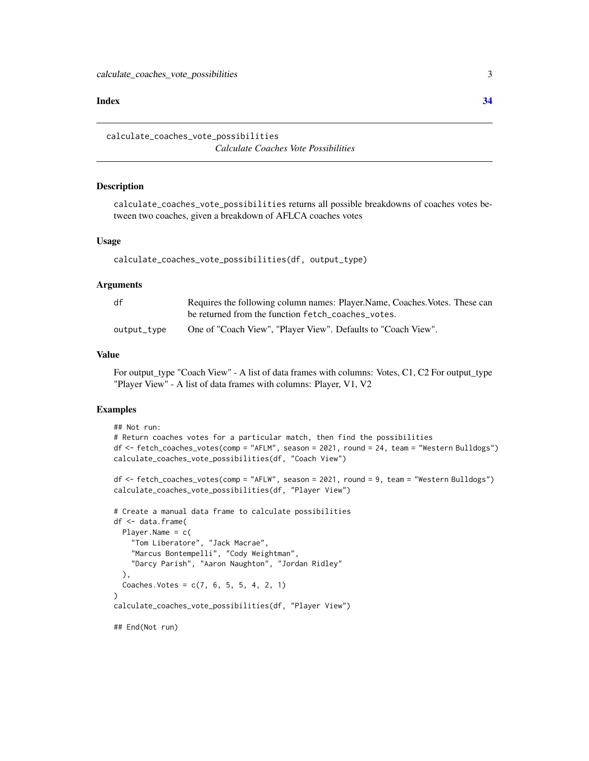#### <span id="page-2-0"></span>**Index** [34](#page-33-0)

calculate\_coaches\_vote\_possibilities *Calculate Coaches Vote Possibilities*

### **Description**

calculate\_coaches\_vote\_possibilities returns all possible breakdowns of coaches votes between two coaches, given a breakdown of AFLCA coaches votes

#### Usage

calculate\_coaches\_vote\_possibilities(df, output\_type)

#### Arguments

| df          | Requires the following column names: Player, Name, Coaches, Votes. These can |
|-------------|------------------------------------------------------------------------------|
|             | be returned from the function fetch_coaches_votes.                           |
| output_type | One of "Coach View", "Player View". Defaults to "Coach View".                |

#### Value

For output\_type "Coach View" - A list of data frames with columns: Votes, C1, C2 For output\_type "Player View" - A list of data frames with columns: Player, V1, V2

#### Examples

```
## Not run:
# Return coaches votes for a particular match, then find the possibilities
df <- fetch_coaches_votes(comp = "AFLM", season = 2021, round = 24, team = "Western Bulldogs")
calculate_coaches_vote_possibilities(df, "Coach View")
```

```
df <- fetch_coaches_votes(comp = "AFLW", season = 2021, round = 9, team = "Western Bulldogs")
calculate_coaches_vote_possibilities(df, "Player View")
```

```
# Create a manual data frame to calculate possibilities
df <- data.frame(
 Player.Name = c(
    "Tom Liberatore", "Jack Macrae",
    "Marcus Bontempelli", "Cody Weightman",
    "Darcy Parish", "Aaron Naughton", "Jordan Ridley"
 ),
 Coaches. Votes = c(7, 6, 5, 5, 4, 2, 1))
calculate_coaches_vote_possibilities(df, "Player View")
## End(Not run)
```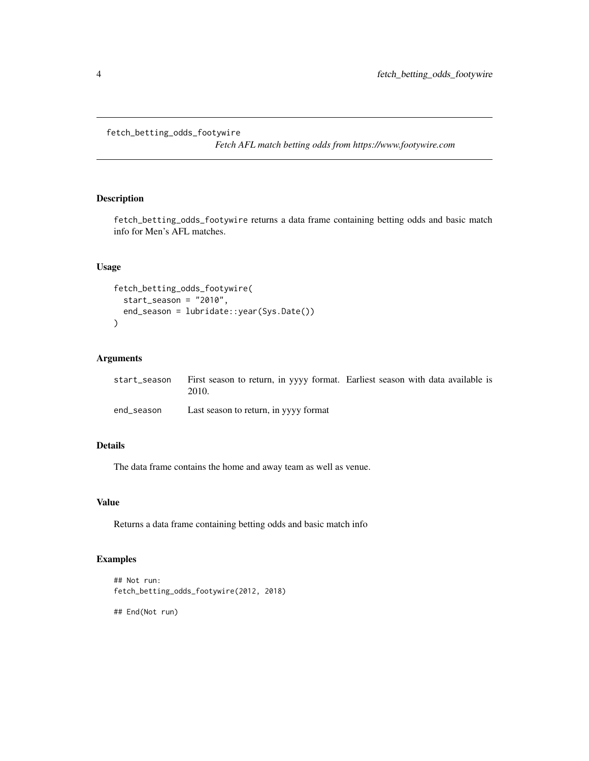<span id="page-3-0"></span>fetch\_betting\_odds\_footywire

*Fetch AFL match betting odds from https://www.footywire.com*

# Description

fetch\_betting\_odds\_footywire returns a data frame containing betting odds and basic match info for Men's AFL matches.

# Usage

```
fetch_betting_odds_footywire(
  start_season = "2010",
  end_season = lubridate::year(Sys.Date())
\mathcal{L}
```
# Arguments

|            | start_season First season to return, in yyyy format. Earliest season with data available is<br>2010. |  |  |
|------------|------------------------------------------------------------------------------------------------------|--|--|
| end season | Last season to return, in yyyy format                                                                |  |  |

# Details

The data frame contains the home and away team as well as venue.

# Value

Returns a data frame containing betting odds and basic match info

# Examples

```
## Not run:
fetch_betting_odds_footywire(2012, 2018)
```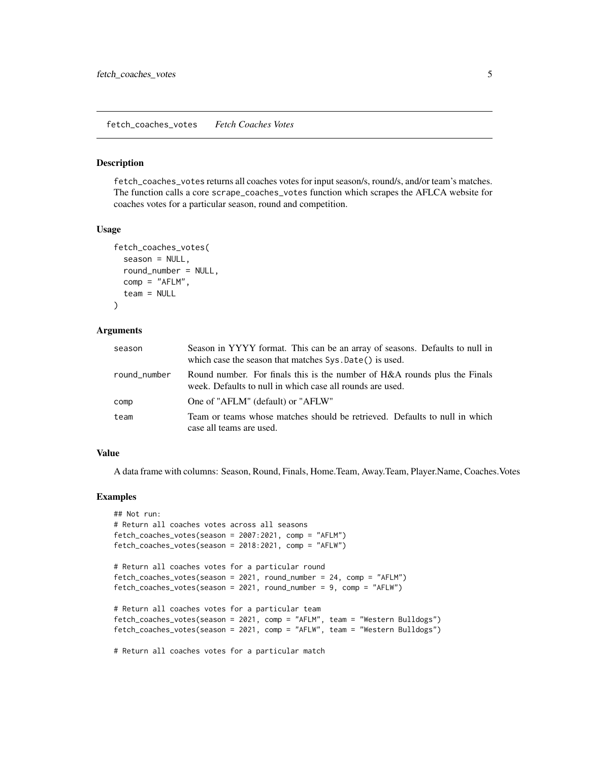<span id="page-4-0"></span>fetch\_coaches\_votes *Fetch Coaches Votes*

#### Description

fetch\_coaches\_votes returns all coaches votes for input season/s, round/s, and/or team's matches. The function calls a core scrape\_coaches\_votes function which scrapes the AFLCA website for coaches votes for a particular season, round and competition.

#### Usage

```
fetch_coaches_votes(
  season = NULL,
  round_number = NULL,comp = "AFLM".team = NULL
)
```
#### Arguments

| season       | Season in YYYY format. This can be an array of seasons. Defaults to null in<br>which case the season that matches Sys. Date() is used. |
|--------------|----------------------------------------------------------------------------------------------------------------------------------------|
| round_number | Round number. For finals this is the number of H&A rounds plus the Finals<br>week. Defaults to null in which case all rounds are used. |
| comp         | One of "AFLM" (default) or "AFLW"                                                                                                      |
| team         | Team or teams whose matches should be retrieved. Defaults to null in which<br>case all teams are used.                                 |

#### Value

A data frame with columns: Season, Round, Finals, Home.Team, Away.Team, Player.Name, Coaches.Votes

#### Examples

```
## Not run:
# Return all coaches votes across all seasons
fetch_coaches_votes(season = 2007:2021, comp = "AFLM")
fetch_coaches_votes(season = 2018:2021, comp = "AFLW")
# Return all coaches votes for a particular round
fetch_coaches_votes(season = 2021, round_number = 24, comp = "AFLM")
fetch_coaches_votes(season = 2021, round_number = 9, comp = "AFLW")
# Return all coaches votes for a particular team
fetch_coaches_votes(season = 2021, comp = "AFLM", team = "Western Bulldogs")
fetch_coaches_votes(season = 2021, comp = "AFLW", team = "Western Bulldogs")
# Return all coaches votes for a particular match
```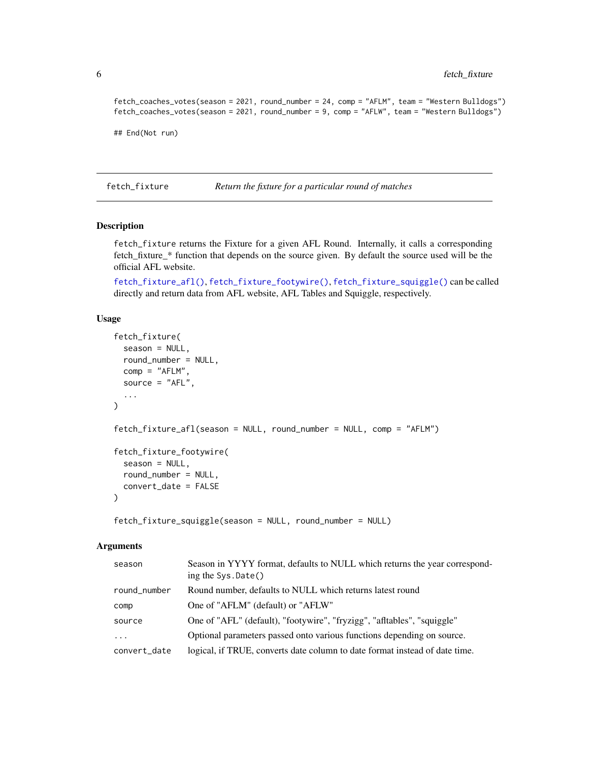```
fetch_coaches_votes(season = 2021, round_number = 24, comp = "AFLM", team = "Western Bulldogs")
fetch_coaches_votes(season = 2021, round_number = 9, comp = "AFLW", team = "Western Bulldogs")
```
## End(Not run)

<span id="page-5-2"></span>fetch\_fixture *Return the fixture for a particular round of matches*

# <span id="page-5-1"></span>Description

fetch\_fixture returns the Fixture for a given AFL Round. Internally, it calls a corresponding fetch\_fixture\_\* function that depends on the source given. By default the source used will be the official AFL website.

[fetch\\_fixture\\_afl\(\)](#page-5-1), [fetch\\_fixture\\_footywire\(\)](#page-5-1), [fetch\\_fixture\\_squiggle\(\)](#page-5-1) can be called directly and return data from AFL website, AFL Tables and Squiggle, respectively.

#### Usage

```
fetch_fixture(
  season = NULL,
  round_number = NULL,
  comp = "AFLM",
  source = "AFL",
  ...
)
fetch_fixture_afl(season = NULL, round_number = NULL, comp = "AFLM")
fetch_fixture_footywire(
  season = NULL,
  round_number = NULL,
  convert_date = FALSE
\lambda
```
fetch\_fixture\_squiggle(season = NULL, round\_number = NULL)

#### Arguments

| season                  | Season in YYYY format, defaults to NULL which returns the year correspond-<br>ing the Sys. Date() |
|-------------------------|---------------------------------------------------------------------------------------------------|
| round_number            | Round number, defaults to NULL which returns latest round                                         |
| comp                    | One of "AFLM" (default) or "AFLW"                                                                 |
| source                  | One of "AFL" (default), "footywire", "fryzigg", "afltables", "squiggle"                           |
| $\cdot$ $\cdot$ $\cdot$ | Optional parameters passed onto various functions depending on source.                            |
| convert_date            | logical, if TRUE, converts date column to date format instead of date time.                       |

<span id="page-5-0"></span>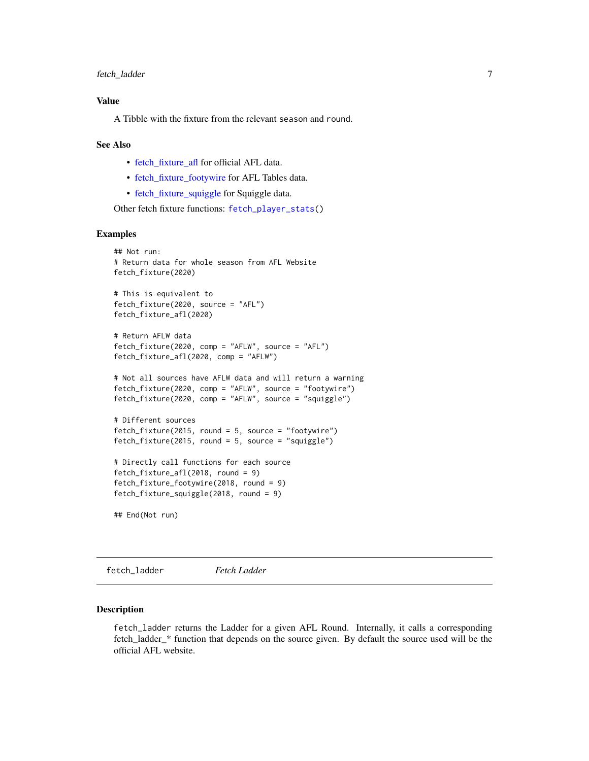# <span id="page-6-0"></span>Value

A Tibble with the fixture from the relevant season and round.

#### See Also

- [fetch\\_fixture\\_afl](#page-5-1) for official AFL data.
- [fetch\\_fixture\\_footywire](#page-5-1) for AFL Tables data.
- [fetch\\_fixture\\_squiggle](#page-5-1) for Squiggle data.

Other fetch fixture functions: [fetch\\_player\\_stats\(](#page-11-1))

#### Examples

```
## Not run:
# Return data for whole season from AFL Website
fetch_fixture(2020)
# This is equivalent to
fetch_fixture(2020, source = "AFL")
fetch_fixture_afl(2020)
# Return AFLW data
fetch_fixture(2020, comp = "AFLW", source = "AFL")
fetch_fixture_afl(2020, comp = "AFLW")
# Not all sources have AFLW data and will return a warning
fetch_fixture(2020, comp = "AFLW", source = "footywire")
fetch_fixture(2020, comp = "AFLW", source = "squiggle")
# Different sources
fetch_fixture(2015, round = 5, source = "footywire")
fetch_fixture(2015, round = 5, source = "squiggle")
# Directly call functions for each source
fetch_fixture_afl(2018, round = 9)
fetch_fixture_footywire(2018, round = 9)
fetch_fixture_squiggle(2018, round = 9)
## End(Not run)
```
fetch\_ladder *Fetch Ladder*

#### <span id="page-6-1"></span>Description

fetch\_ladder returns the Ladder for a given AFL Round. Internally, it calls a corresponding fetch\_ladder\_\* function that depends on the source given. By default the source used will be the official AFL website.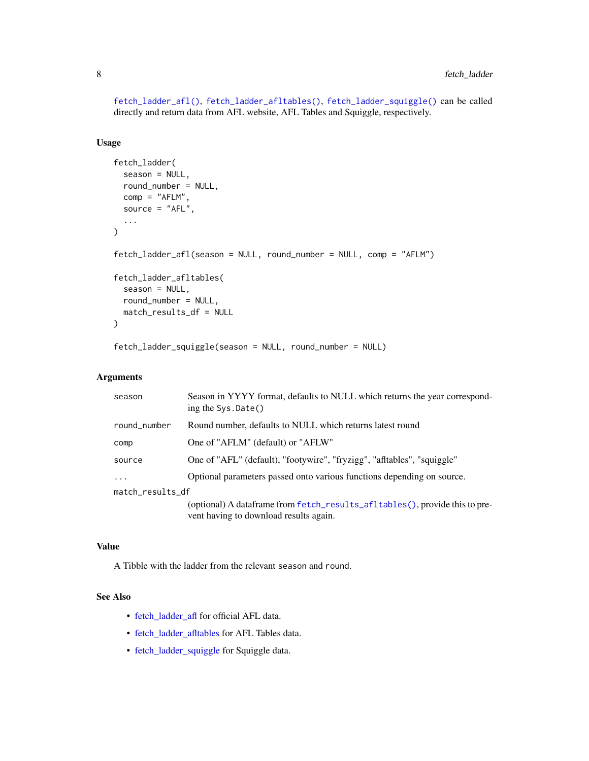<span id="page-7-0"></span>[fetch\\_ladder\\_afl\(\)](#page-6-1), [fetch\\_ladder\\_afltables\(\)](#page-6-1), [fetch\\_ladder\\_squiggle\(\)](#page-6-1) can be called directly and return data from AFL website, AFL Tables and Squiggle, respectively.

# Usage

```
fetch_ladder(
  season = NULL,
  round_number = NULL,
  comp = "AFLM",
  source = "AFL",
  ...
)
fetch_ladder_afl(season = NULL, round_number = NULL, comp = "AFLM")
fetch_ladder_afltables(
  season = NULL,
  round_number = NULL,
 match_results_df = NULL
)
fetch_ladder_squiggle(season = NULL, round_number = NULL)
```
#### Arguments

| season           | Season in YYYY format, defaults to NULL which returns the year correspond-<br>ing the $Sys.Date()$                    |  |
|------------------|-----------------------------------------------------------------------------------------------------------------------|--|
| round_number     | Round number, defaults to NULL which returns latest round                                                             |  |
| comp             | One of "AFLM" (default) or "AFLW"                                                                                     |  |
| source           | One of "AFL" (default), "footywire", "fryzigg", "afltables", "squiggle"                                               |  |
| .                | Optional parameters passed onto various functions depending on source.                                                |  |
| match_results_df |                                                                                                                       |  |
|                  | (optional) A dataframe from fetch_results_afltables(), provide this to pre-<br>vent having to download results again. |  |

# Value

A Tibble with the ladder from the relevant season and round.

# See Also

- [fetch\\_ladder\\_afl](#page-6-1) for official AFL data.
- [fetch\\_ladder\\_afltables](#page-6-1) for AFL Tables data.
- [fetch\\_ladder\\_squiggle](#page-6-1) for Squiggle data.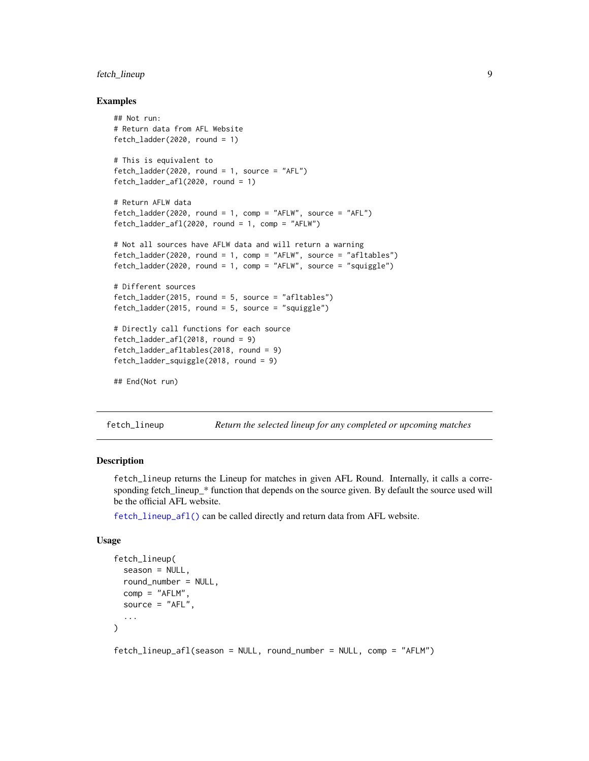# <span id="page-8-0"></span>fetch\_lineup 9

#### Examples

```
## Not run:
# Return data from AFL Website
fetch_ladder(2020, round = 1)
# This is equivalent to
fetch_ladder(2020, round = 1, source = "AFL")
fetch_ladder_afl(2020, round = 1)
# Return AFLW data
fetch_ladder(2020, round = 1, comp = "AFLW", source = "AFL")
fetch\_ladder_afl(2020, round = 1, comp = "AFLW")# Not all sources have AFLW data and will return a warning
fetch_ladder(2020, round = 1, comp = "AFLW", source = "afltables")
fetch_ladder(2020, round = 1, comp = "AFLW", source = "squiggle")
# Different sources
fetch_ladder(2015, round = 5, source = "afltables")
fetch_ladder(2015, round = 5, source = "squiggle")
# Directly call functions for each source
fetch_ladder_afl(2018, round = 9)
fetch_ladder_afltables(2018, round = 9)
fetch_ladder_squiggle(2018, round = 9)
## End(Not run)
```
fetch\_lineup *Return the selected lineup for any completed or upcoming matches*

#### <span id="page-8-1"></span>Description

fetch\_lineup returns the Lineup for matches in given AFL Round. Internally, it calls a corresponding fetch\_lineup\_\* function that depends on the source given. By default the source used will be the official AFL website.

[fetch\\_lineup\\_afl\(\)](#page-8-1) can be called directly and return data from AFL website.

#### Usage

```
fetch_lineup(
  season = NULL,
  round_number = NULL,
  comp = "AFLM"source = "AFL",
  ...
)
```
fetch\_lineup\_afl(season = NULL, round\_number = NULL, comp = "AFLM")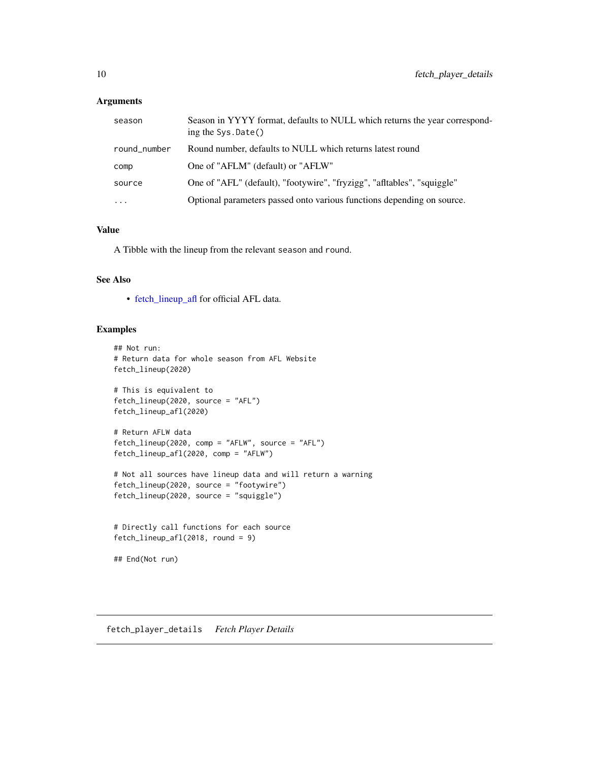# <span id="page-9-0"></span>Arguments

| season       | Season in YYYY format, defaults to NULL which returns the year correspond-<br>ing the Sys. Date() |
|--------------|---------------------------------------------------------------------------------------------------|
| round_number | Round number, defaults to NULL which returns latest round                                         |
| comp         | One of "AFLM" (default) or "AFLW"                                                                 |
| source       | One of "AFL" (default), "footywire", "fryzigg", "afltables", "squiggle"                           |
| $\ddots$     | Optional parameters passed onto various functions depending on source.                            |

#### Value

A Tibble with the lineup from the relevant season and round.

# See Also

• [fetch\\_lineup\\_afl](#page-8-1) for official AFL data.

#### Examples

```
## Not run:
# Return data for whole season from AFL Website
fetch_lineup(2020)
# This is equivalent to
fetch_lineup(2020, source = "AFL")
fetch_lineup_afl(2020)
# Return AFLW data
fetch_lineup(2020, comp = "AFLW", source = "AFL")
fetch_lineup_afl(2020, comp = "AFLW")
# Not all sources have lineup data and will return a warning
fetch_lineup(2020, source = "footywire")
fetch_lineup(2020, source = "squiggle")
# Directly call functions for each source
fetch_lineup_afl(2018, round = 9)
## End(Not run)
```
<span id="page-9-1"></span>fetch\_player\_details *Fetch Player Details*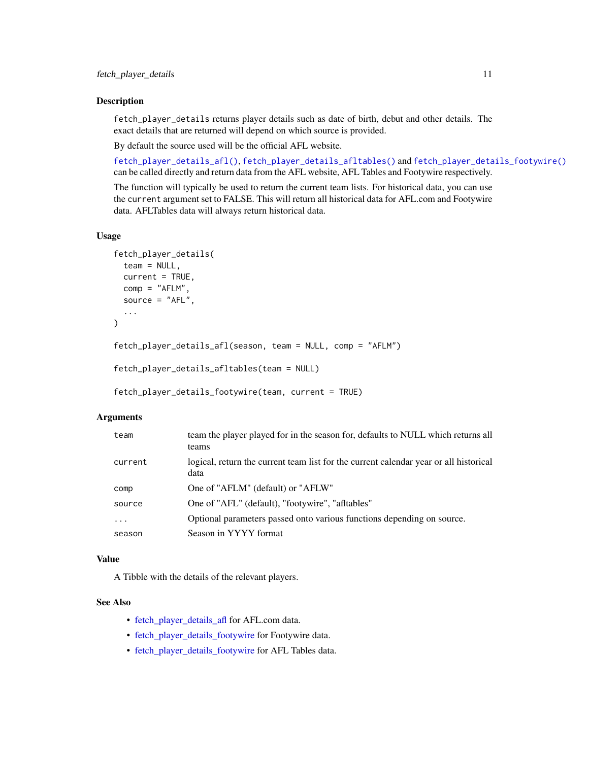#### <span id="page-10-0"></span>Description

fetch\_player\_details returns player details such as date of birth, debut and other details. The exact details that are returned will depend on which source is provided.

By default the source used will be the official AFL website.

[fetch\\_player\\_details\\_afl\(\)](#page-9-1), [fetch\\_player\\_details\\_afltables\(\)](#page-9-1) and [fetch\\_player\\_details\\_footywire\(\)](#page-9-1) can be called directly and return data from the AFL website, AFL Tables and Footywire respectively.

The function will typically be used to return the current team lists. For historical data, you can use the current argument set to FALSE. This will return all historical data for AFL.com and Footywire data. AFLTables data will always return historical data.

#### Usage

```
fetch_player_details(
  team = NULL,
  current = TRUE,
  comp = "AFLM",source = "AFL",
  ...
)
fetch_player_details_afl(season, team = NULL, comp = "AFLM")
fetch_player_details_afltables(team = NULL)
fetch_player_details_footywire(team, current = TRUE)
```
# Arguments

| team     | team the player played for in the season for, defaults to NULL which returns all<br>teams     |
|----------|-----------------------------------------------------------------------------------------------|
| current  | logical, return the current team list for the current calendar year or all historical<br>data |
| comp     | One of "AFLM" (default) or "AFLW"                                                             |
| source   | One of "AFL" (default), "footywire", "afltables"                                              |
| $\cdots$ | Optional parameters passed onto various functions depending on source.                        |
| season   | Season in YYYY format                                                                         |

#### Value

A Tibble with the details of the relevant players.

# See Also

- [fetch\\_player\\_details\\_afl](#page-9-1) for AFL.com data.
- [fetch\\_player\\_details\\_footywire](#page-9-1) for Footywire data.
- [fetch\\_player\\_details\\_footywire](#page-9-1) for AFL Tables data.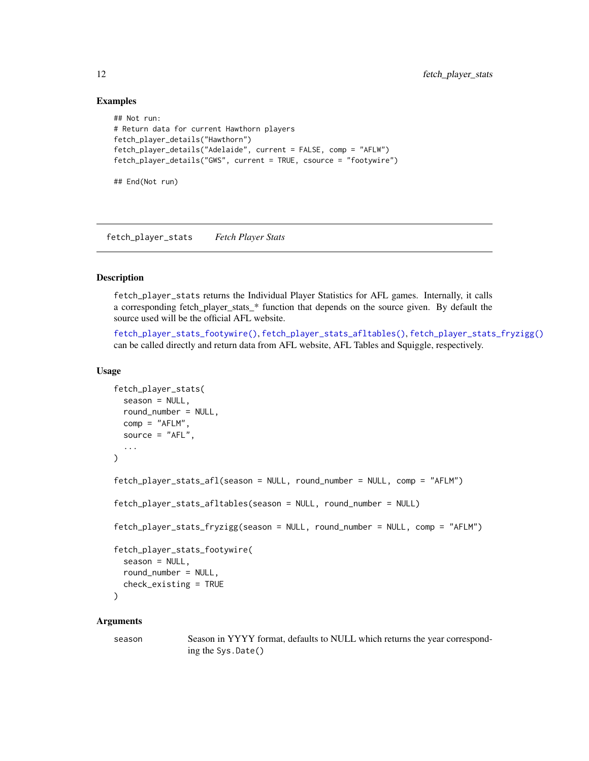#### Examples

```
## Not run:
# Return data for current Hawthorn players
fetch_player_details("Hawthorn")
fetch_player_details("Adelaide", current = FALSE, comp = "AFLW")
fetch_player_details("GWS", current = TRUE, csource = "footywire")
## End(Not run)
```
<span id="page-11-1"></span>fetch\_player\_stats *Fetch Player Stats*

# <span id="page-11-2"></span>Description

fetch\_player\_stats returns the Individual Player Statistics for AFL games. Internally, it calls a corresponding fetch\_player\_stats\_\* function that depends on the source given. By default the source used will be the official AFL website.

[fetch\\_player\\_stats\\_footywire\(\)](#page-11-2), [fetch\\_player\\_stats\\_afltables\(\)](#page-11-2), [fetch\\_player\\_stats\\_fryzigg\(\)](#page-11-2) can be called directly and return data from AFL website, AFL Tables and Squiggle, respectively.

#### Usage

```
fetch_player_stats(
  season = NULL,
  round_number = NULL,
  comp = "AFLM",source = "AFL",
  ...
\lambdafetch_player_stats_afl(season = NULL, round_number = NULL, comp = "AFLM")
fetch_player_stats_afltables(season = NULL, round_number = NULL)
fetch_player_stats_fryzigg(season = NULL, round_number = NULL, comp = "AFLM")
fetch_player_stats_footywire(
  season = NULL,
  round_number = NULL,
 check_existing = TRUE
)
```
#### Arguments

season Season in YYYY format, defaults to NULL which returns the year corresponding the Sys.Date()

<span id="page-11-0"></span>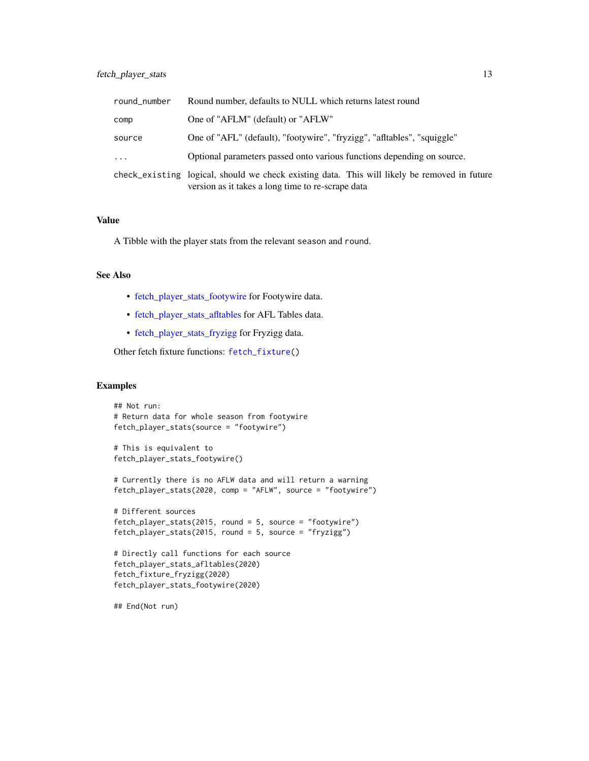<span id="page-12-0"></span>

| round_number | Round number, defaults to NULL which returns latest round                                                                                         |
|--------------|---------------------------------------------------------------------------------------------------------------------------------------------------|
| comp         | One of "AFLM" (default) or "AFLW"                                                                                                                 |
| source       | One of "AFL" (default), "footywire", "fryzigg", "afltables", "squiggle"                                                                           |
| $\cdots$     | Optional parameters passed onto various functions depending on source.                                                                            |
|              | check_existing logical, should we check existing data. This will likely be removed in future<br>version as it takes a long time to re-scrape data |

#### Value

A Tibble with the player stats from the relevant season and round.

# See Also

- [fetch\\_player\\_stats\\_footywire](#page-11-2) for Footywire data.
- [fetch\\_player\\_stats\\_afltables](#page-11-2) for AFL Tables data.
- [fetch\\_player\\_stats\\_fryzigg](#page-11-2) for Fryzigg data.

Other fetch fixture functions: [fetch\\_fixture\(](#page-5-2))

# Examples

```
## Not run:
# Return data for whole season from footywire
fetch_player_stats(source = "footywire")
# This is equivalent to
fetch_player_stats_footywire()
# Currently there is no AFLW data and will return a warning
fetch_player_stats(2020, comp = "AFLW", source = "footywire")
# Different sources
fetch_player_stats(2015, round = 5, source = "footywire")
fetch_player_stats(2015, round = 5, source = "fryzigg")
# Directly call functions for each source
fetch_player_stats_afltables(2020)
fetch_fixture_fryzigg(2020)
fetch_player_stats_footywire(2020)
```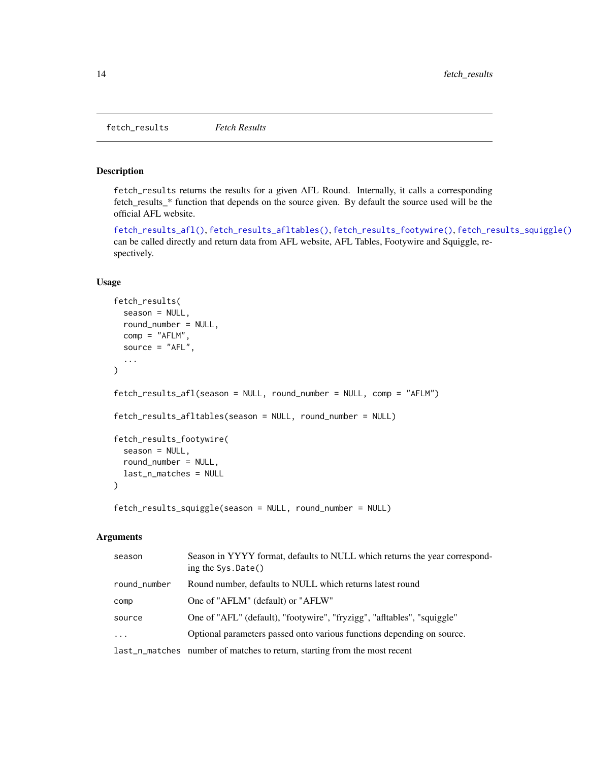<span id="page-13-0"></span>fetch\_results *Fetch Results*

#### <span id="page-13-1"></span>Description

fetch\_results returns the results for a given AFL Round. Internally, it calls a corresponding fetch\_results\_\* function that depends on the source given. By default the source used will be the official AFL website.

[fetch\\_results\\_afl\(\)](#page-13-1), [fetch\\_results\\_afltables\(\)](#page-13-1), [fetch\\_results\\_footywire\(\)](#page-13-1), [fetch\\_results\\_squiggle\(\)](#page-13-1) can be called directly and return data from AFL website, AFL Tables, Footywire and Squiggle, respectively.

# Usage

```
fetch_results(
  season = NULL,
  round_number = NULL,
 comp = "AFLM",
  source = "AFL",...
)
fetch_results_afl(season = NULL, round_number = NULL, comp = "AFLM")
fetch_results_afltables(season = NULL, round_number = NULL)
fetch_results_footywire(
  season = NULL,
  round_number = NULL,
  last_n_matches = NULL
\lambdafetch_results_squiggle(season = NULL, round_number = NULL)
```
#### **Arguments**

| season                  | Season in YYYY format, defaults to NULL which returns the year correspond-<br>ing the $Sys.Date()$ |
|-------------------------|----------------------------------------------------------------------------------------------------|
| round_number            | Round number, defaults to NULL which returns latest round                                          |
| comp                    | One of "AFLM" (default) or "AFLW"                                                                  |
| source                  | One of "AFL" (default), "footywire", "fryzigg", "afltables", "squiggle"                            |
| $\cdot$ $\cdot$ $\cdot$ | Optional parameters passed onto various functions depending on source.                             |
|                         | last_n_matches number of matches to return, starting from the most recent                          |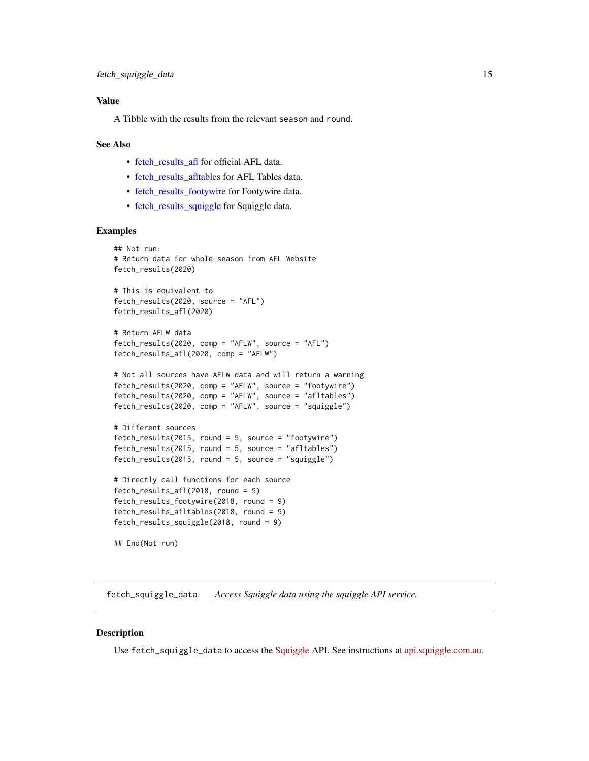# <span id="page-14-0"></span>Value

A Tibble with the results from the relevant season and round.

#### See Also

- [fetch\\_results\\_afl](#page-13-1) for official AFL data.
- [fetch\\_results\\_afltables](#page-13-1) for AFL Tables data.
- [fetch\\_results\\_footywire](#page-13-1) for Footywire data.
- [fetch\\_results\\_squiggle](#page-13-1) for Squiggle data.

#### Examples

```
## Not run:
# Return data for whole season from AFL Website
fetch_results(2020)
# This is equivalent to
```

```
fetch_results(2020, source = "AFL")
fetch_results_afl(2020)
```

```
# Return AFLW data
fetch_results(2020, comp = "AFLW", source = "AFL")
fetch_results_afl(2020, comp = "AFLW")
```

```
# Not all sources have AFLW data and will return a warning
fetch_results(2020, comp = "AFLW", source = "footywire")
fetch_results(2020, comp = "AFLW", source = "afltables")
fetch_results(2020, comp = "AFLW", source = "squiggle")
```

```
# Different sources
fetch_results(2015, round = 5, source = "footywire")
fetch_results(2015, round = 5, source = "afltables")
fetch_results(2015, round = 5, source = "squiggle")
```

```
# Directly call functions for each source
fetch_results_afl(2018, round = 9)
fetch_results_footywire(2018, round = 9)
fetch_results_afltables(2018, round = 9)
fetch_results_squiggle(2018, round = 9)
```
## End(Not run)

fetch\_squiggle\_data *Access Squiggle data using the squiggle API service.*

#### **Description**

Use fetch\_squiggle\_data to access the [Squiggle](https://squiggle.com.au) API. See instructions at [api.squiggle.com.au.](https://api.squiggle.com.au)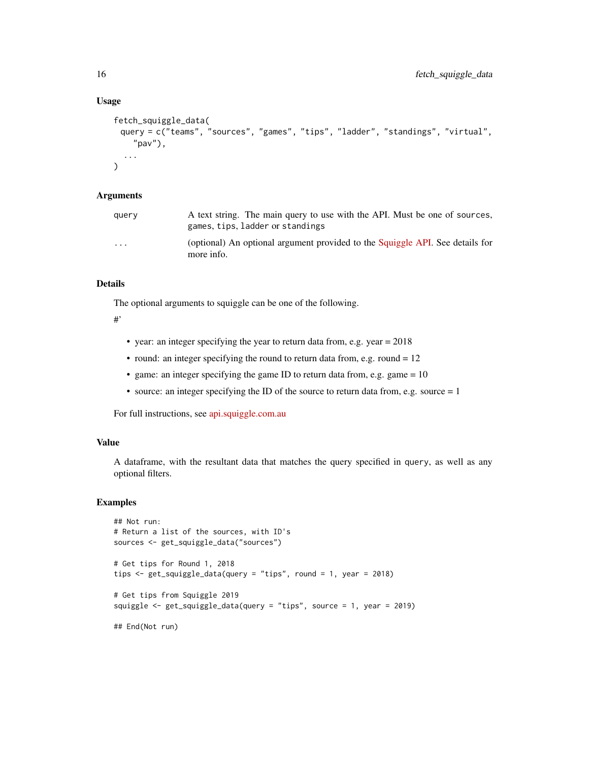# Usage

```
fetch_squiggle_data(
 query = c("teams", "sources", "games", "tips", "ladder", "standings", "virtual",
    "pav"),
  ...
\mathcal{L}
```
# Arguments

| querv                   | A text string. The main query to use with the API. Must be one of sources,<br>games, tips, ladder or standings |
|-------------------------|----------------------------------------------------------------------------------------------------------------|
| $\cdot$ $\cdot$ $\cdot$ | (optional) An optional argument provided to the Squiggle API. See details for<br>more info.                    |

#### Details

The optional arguments to squiggle can be one of the following.

# #'

- year: an integer specifying the year to return data from, e.g. year = 2018
- round: an integer specifying the round to return data from, e.g. round  $= 12$
- game: an integer specifying the game ID to return data from, e.g. game  $= 10$
- source: an integer specifying the ID of the source to return data from, e.g. source = 1

For full instructions, see [api.squiggle.com.au](https://api.squiggle.com.au)

#### Value

A dataframe, with the resultant data that matches the query specified in query, as well as any optional filters.

# Examples

```
## Not run:
# Return a list of the sources, with ID's
sources <- get_squiggle_data("sources")
# Get tips for Round 1, 2018
tips \le- get_squiggle_data(query = "tips", round = 1, year = 2018)
# Get tips from Squiggle 2019
squiggle <- get_squiggle_data(query = "tips", source = 1, year = 2019)
## End(Not run)
```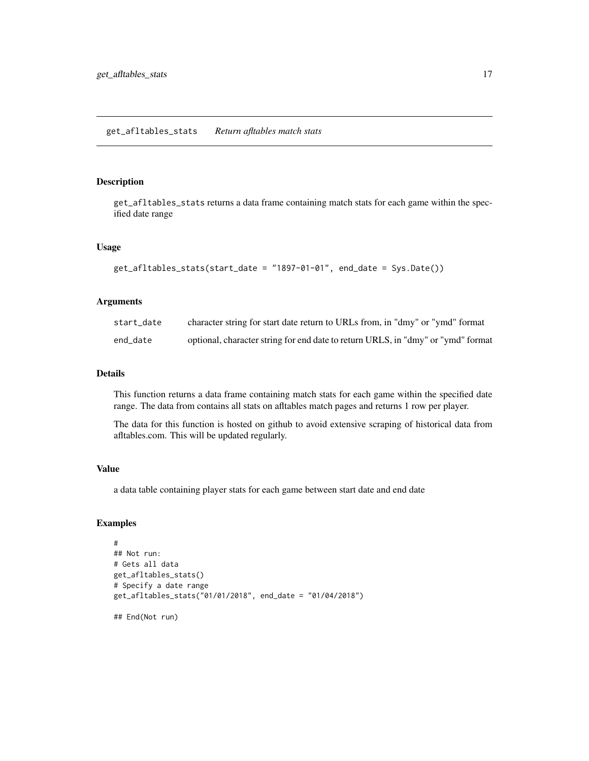#### <span id="page-16-0"></span>Description

get\_afltables\_stats returns a data frame containing match stats for each game within the specified date range

#### Usage

```
get_afltables_stats(start_date = "1897-01-01", end_date = Sys.Date())
```
# Arguments

| start date | character string for start date return to URLs from, in "dmy" or "ymd" format    |
|------------|----------------------------------------------------------------------------------|
| end_date   | optional, character string for end date to return URLS, in "dmy" or "ymd" format |

#### Details

This function returns a data frame containing match stats for each game within the specified date range. The data from contains all stats on afltables match pages and returns 1 row per player.

The data for this function is hosted on github to avoid extensive scraping of historical data from afltables.com. This will be updated regularly.

#### Value

a data table containing player stats for each game between start date and end date

# Examples

```
#
## Not run:
# Gets all data
get_afltables_stats()
# Specify a date range
get_afltables_stats("01/01/2018", end_date = "01/04/2018")
```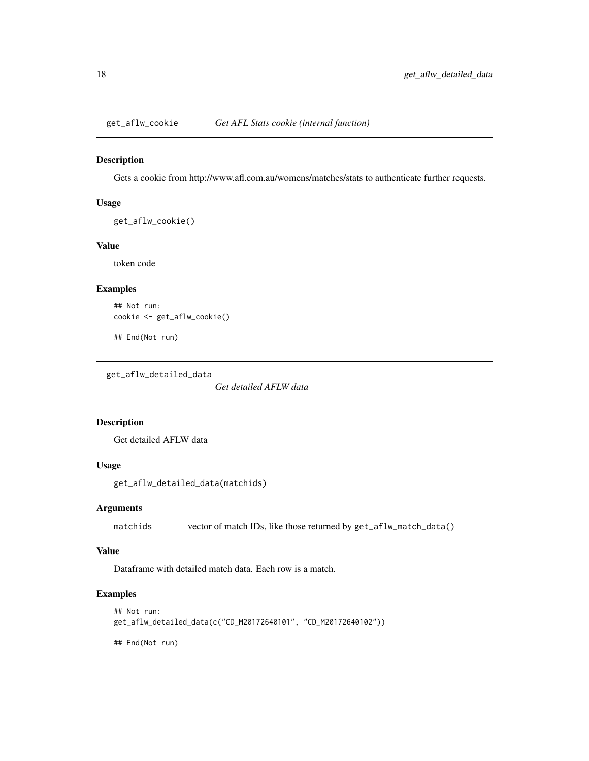<span id="page-17-0"></span>

## Description

Gets a cookie from http://www.afl.com.au/womens/matches/stats to authenticate further requests.

#### Usage

```
get_aflw_cookie()
```
#### Value

token code

# Examples

```
## Not run:
cookie <- get_aflw_cookie()
```
## End(Not run)

get\_aflw\_detailed\_data

*Get detailed AFLW data*

# Description

Get detailed AFLW data

# Usage

```
get_aflw_detailed_data(matchids)
```
# Arguments

matchids vector of match IDs, like those returned by get\_aflw\_match\_data()

#### Value

Dataframe with detailed match data. Each row is a match.

# Examples

```
## Not run:
get_aflw_detailed_data(c("CD_M20172640101", "CD_M20172640102"))
```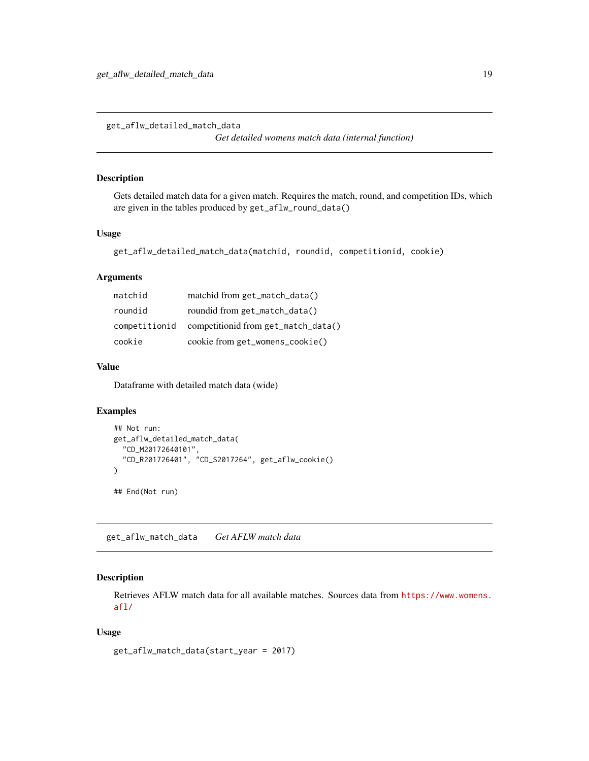<span id="page-18-0"></span>get\_aflw\_detailed\_match\_data

*Get detailed womens match data (internal function)*

#### Description

Gets detailed match data for a given match. Requires the match, round, and competition IDs, which are given in the tables produced by get\_aflw\_round\_data()

# Usage

```
get_aflw_detailed_match_data(matchid, roundid, competitionid, cookie)
```
# Arguments

| matchid from get_match_data()       |
|-------------------------------------|
| roundid from get_match_data()       |
| competitionid from get_match_data() |
| cookie from get_womens_cookie()     |
|                                     |

#### Value

Dataframe with detailed match data (wide)

# Examples

```
## Not run:
get_aflw_detailed_match_data(
  "CD_M20172640101",
  "CD_R201726401", "CD_S2017264", get_aflw_cookie()
\mathcal{L}## End(Not run)
```
get\_aflw\_match\_data *Get AFLW match data*

# Description

Retrieves AFLW match data for all available matches. Sources data from [https://www.womens.](https://www.womens.afl/) [afl/](https://www.womens.afl/)

#### Usage

get\_aflw\_match\_data(start\_year = 2017)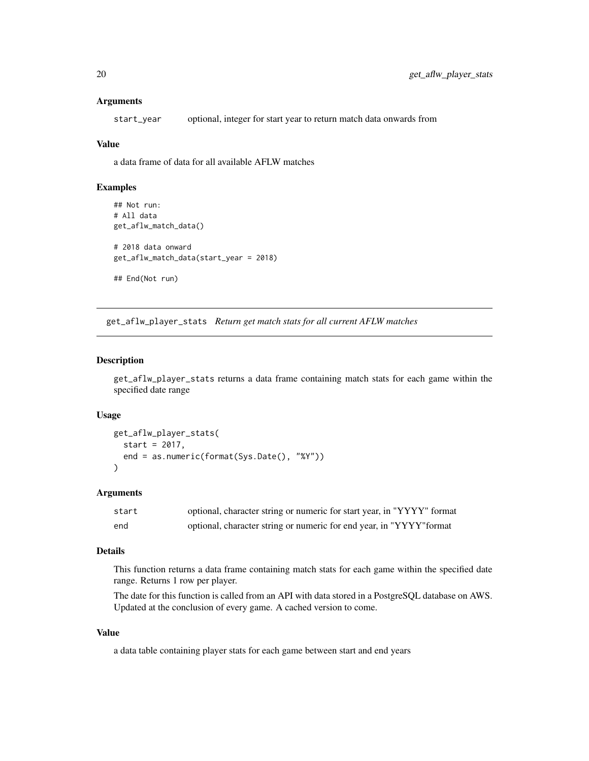#### <span id="page-19-0"></span>Arguments

start\_year optional, integer for start year to return match data onwards from

#### Value

a data frame of data for all available AFLW matches

#### Examples

```
## Not run:
# All data
get_aflw_match_data()
# 2018 data onward
get_aflw_match_data(start_year = 2018)
## End(Not run)
```
get\_aflw\_player\_stats *Return get match stats for all current AFLW matches*

#### Description

get\_aflw\_player\_stats returns a data frame containing match stats for each game within the specified date range

#### Usage

```
get_aflw_player_stats(
  start = 2017,
  end = as.numeric(format(Sys.Date(), "%Y"))
\lambda
```
# Arguments

| start | optional, character string or numeric for start year, in "YYYY" format |
|-------|------------------------------------------------------------------------|
| end   | optional, character string or numeric for end year, in "YYYY" format   |

#### Details

This function returns a data frame containing match stats for each game within the specified date range. Returns 1 row per player.

The date for this function is called from an API with data stored in a PostgreSQL database on AWS. Updated at the conclusion of every game. A cached version to come.

# Value

a data table containing player stats for each game between start and end years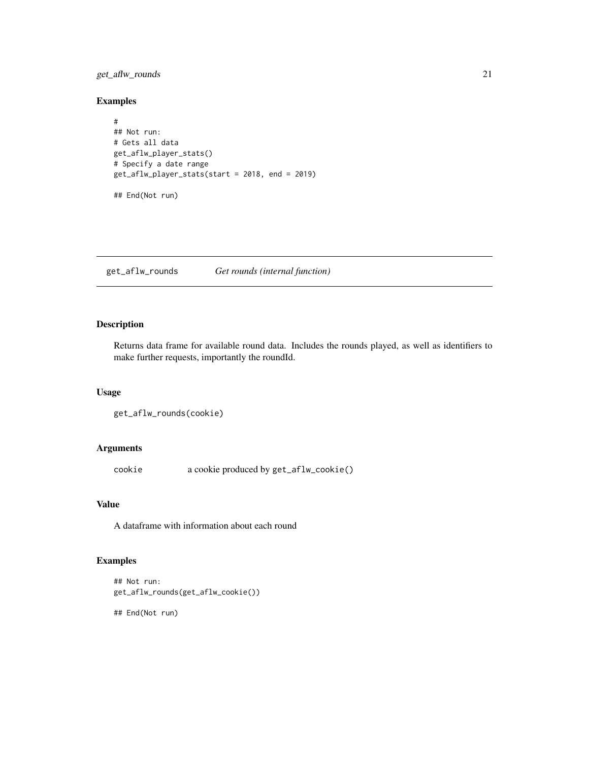# <span id="page-20-0"></span>get\_aflw\_rounds 21

# Examples

```
#
## Not run:
# Gets all data
get_aflw_player_stats()
# Specify a date range
get_aflw_player_stats(start = 2018, end = 2019)
## End(Not run)
```
get\_aflw\_rounds *Get rounds (internal function)*

# Description

Returns data frame for available round data. Includes the rounds played, as well as identifiers to make further requests, importantly the roundId.

# Usage

```
get_aflw_rounds(cookie)
```
# Arguments

cookie a cookie produced by get\_aflw\_cookie()

#### Value

A dataframe with information about each round

# Examples

```
## Not run:
get_aflw_rounds(get_aflw_cookie())
```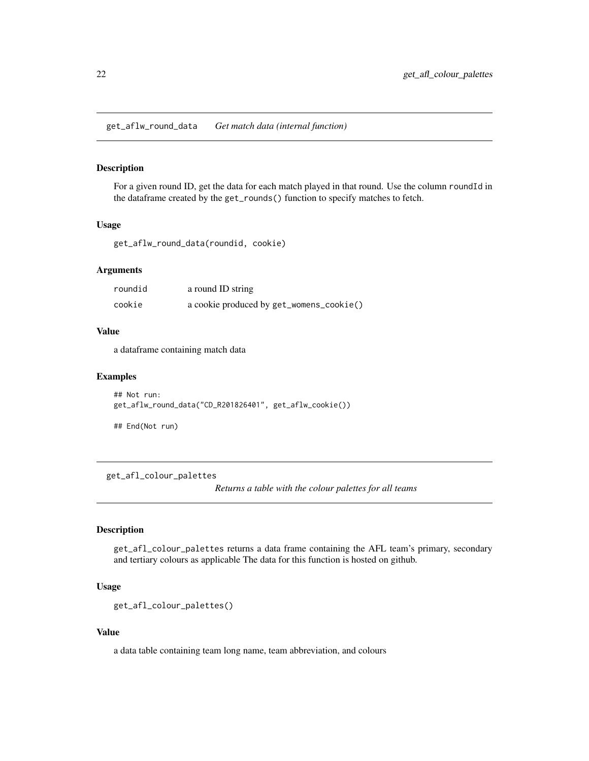<span id="page-21-0"></span>get\_aflw\_round\_data *Get match data (internal function)*

# Description

For a given round ID, get the data for each match played in that round. Use the column roundId in the dataframe created by the get\_rounds() function to specify matches to fetch.

#### Usage

get\_aflw\_round\_data(roundid, cookie)

# Arguments

| roundid | a round ID string                        |
|---------|------------------------------------------|
| cookie  | a cookie produced by get_womens_cookie() |

#### Value

a dataframe containing match data

#### Examples

```
## Not run:
get_aflw_round_data("CD_R201826401", get_aflw_cookie())
```
## End(Not run)

get\_afl\_colour\_palettes

*Returns a table with the colour palettes for all teams*

# Description

get\_afl\_colour\_palettes returns a data frame containing the AFL team's primary, secondary and tertiary colours as applicable The data for this function is hosted on github.

# Usage

```
get_afl_colour_palettes()
```
# Value

a data table containing team long name, team abbreviation, and colours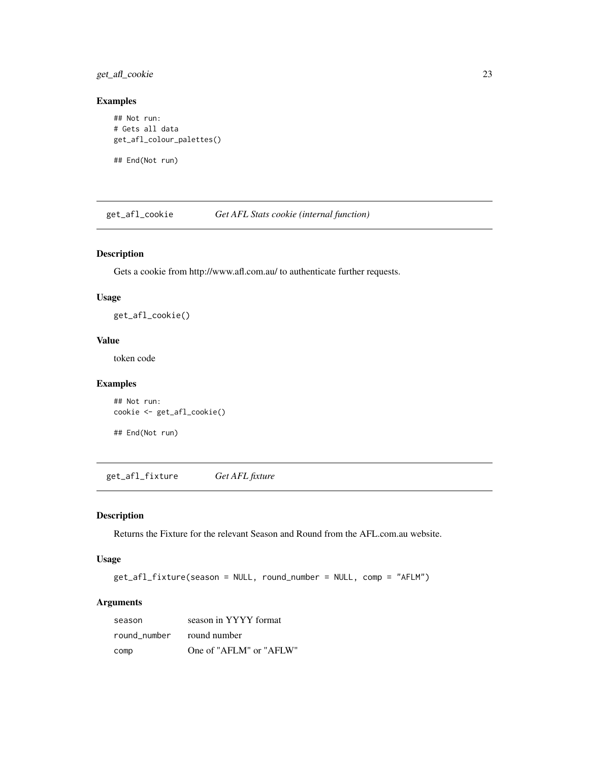<span id="page-22-0"></span>get\_afl\_cookie 23

#### Examples

```
## Not run:
# Gets all data
get_afl_colour_palettes()
```
## End(Not run)

get\_afl\_cookie *Get AFL Stats cookie (internal function)*

# Description

Gets a cookie from http://www.afl.com.au/ to authenticate further requests.

# Usage

get\_afl\_cookie()

#### Value

token code

# Examples

```
## Not run:
cookie <- get_afl_cookie()
```
## End(Not run)

get\_afl\_fixture *Get AFL fixture*

# Description

Returns the Fixture for the relevant Season and Round from the AFL.com.au website.

#### Usage

```
get_afl_fixture(season = NULL, round_number = NULL, comp = "AFLM")
```
# Arguments

| season                    | season in YYYY format   |
|---------------------------|-------------------------|
| round number round number |                         |
| comp                      | One of "AFLM" or "AFLW" |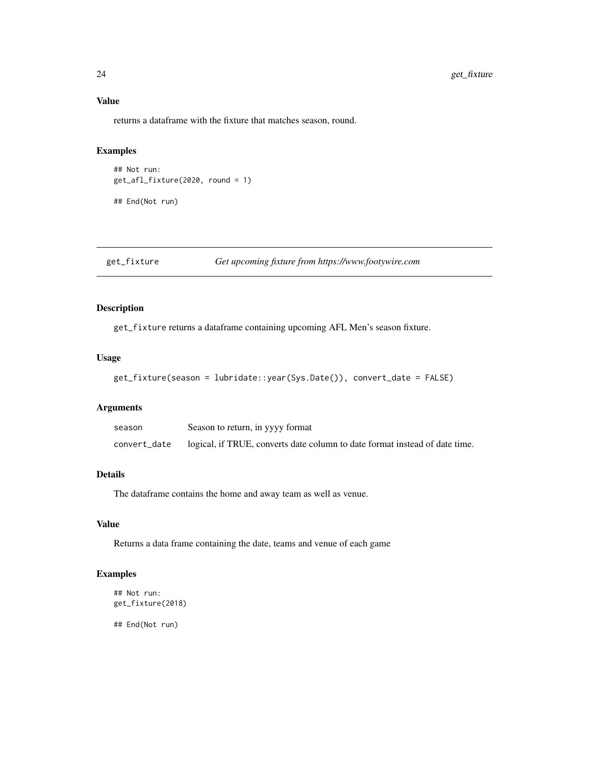# Value

returns a dataframe with the fixture that matches season, round.

# Examples

```
## Not run:
get_afl_fixture(2020, round = 1)
```
## End(Not run)

get\_fixture *Get upcoming fixture from https://www.footywire.com*

# Description

get\_fixture returns a dataframe containing upcoming AFL Men's season fixture.

#### Usage

```
get_fixture(season = lubridate::year(Sys.Date()), convert_date = FALSE)
```
# Arguments

| season       | Season to return, in yyyy format                                            |
|--------------|-----------------------------------------------------------------------------|
| convert_date | logical, if TRUE, converts date column to date format instead of date time. |

#### Details

The dataframe contains the home and away team as well as venue.

# Value

Returns a data frame containing the date, teams and venue of each game

# Examples

```
## Not run:
get_fixture(2018)
```
<span id="page-23-0"></span>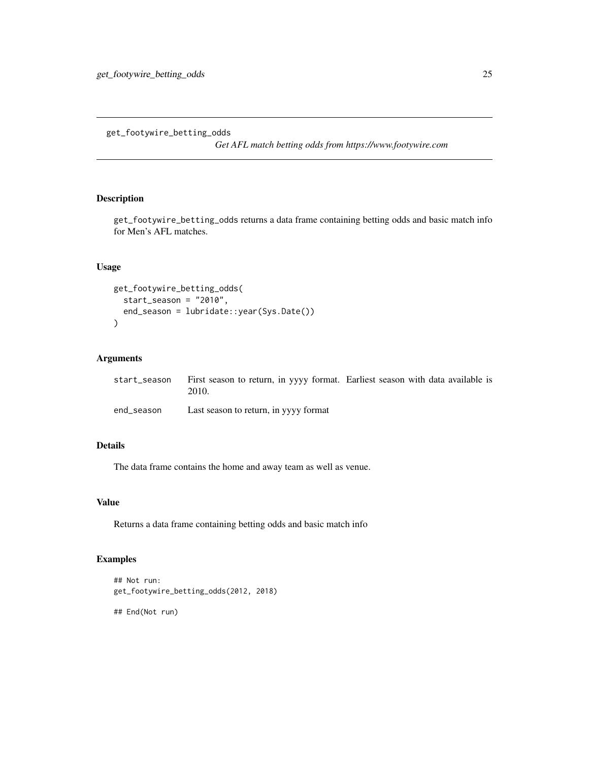<span id="page-24-0"></span>get\_footywire\_betting\_odds

*Get AFL match betting odds from https://www.footywire.com*

# Description

get\_footywire\_betting\_odds returns a data frame containing betting odds and basic match info for Men's AFL matches.

#### Usage

```
get_footywire_betting_odds(
  start_season = "2010",
  end_season = lubridate::year(Sys.Date())
\mathcal{L}
```
# Arguments

|            | start_season First season to return, in yyyy format. Earliest season with data available is<br>2010. |  |  |
|------------|------------------------------------------------------------------------------------------------------|--|--|
| end season | Last season to return, in yyyy format                                                                |  |  |

# Details

The data frame contains the home and away team as well as venue.

# Value

Returns a data frame containing betting odds and basic match info

# Examples

```
## Not run:
get_footywire_betting_odds(2012, 2018)
```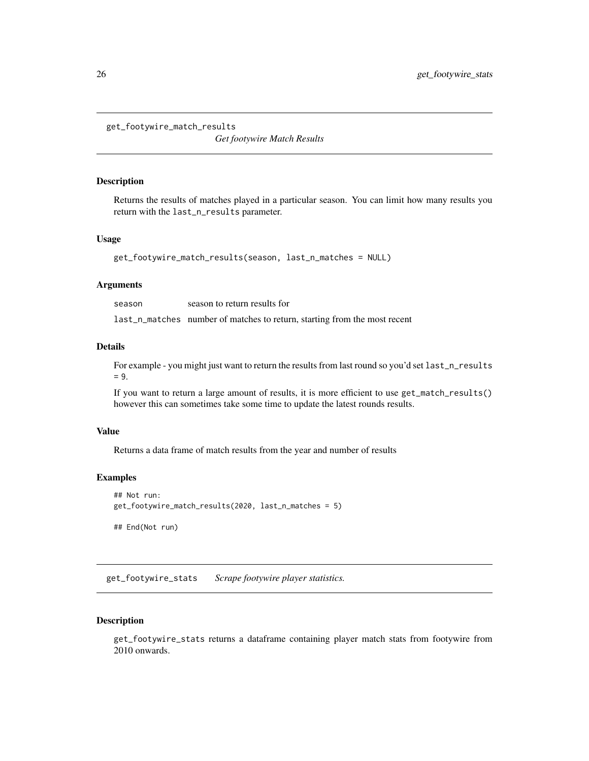<span id="page-25-0"></span>get\_footywire\_match\_results

*Get footywire Match Results*

#### Description

Returns the results of matches played in a particular season. You can limit how many results you return with the last\_n\_results parameter.

#### Usage

```
get_footywire_match_results(season, last_n_matches = NULL)
```
#### Arguments

season season to return results for

last\_n\_matches number of matches to return, starting from the most recent

#### Details

For example - you might just want to return the results from last round so you'd set last\_n\_results  $= 9.$ 

If you want to return a large amount of results, it is more efficient to use get\_match\_results() however this can sometimes take some time to update the latest rounds results.

#### Value

Returns a data frame of match results from the year and number of results

#### Examples

```
## Not run:
get_footywire_match_results(2020, last_n_matches = 5)
## End(Not run)
```
get\_footywire\_stats *Scrape footywire player statistics.*

#### Description

get\_footywire\_stats returns a dataframe containing player match stats from footywire from 2010 onwards.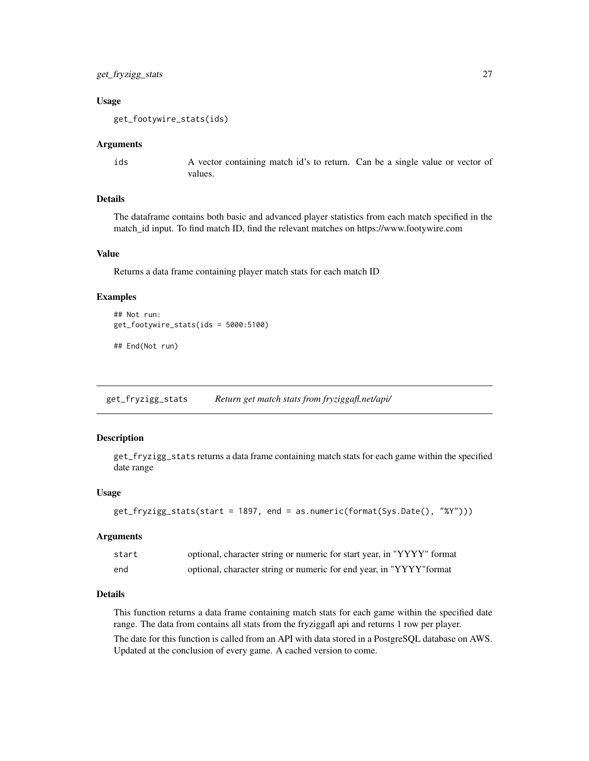#### <span id="page-26-0"></span>Usage

get\_footywire\_stats(ids)

#### Arguments

ids A vector containing match id's to return. Can be a single value or vector of values.

# Details

The dataframe contains both basic and advanced player statistics from each match specified in the match\_id input. To find match ID, find the relevant matches on https://www.footywire.com

# Value

Returns a data frame containing player match stats for each match ID

#### Examples

```
## Not run:
get_footywire_stats(ids = 5000:5100)
```
## End(Not run)

get\_fryzigg\_stats *Return get match stats from fryziggafl.net/api/*

# Description

get\_fryzigg\_stats returns a data frame containing match stats for each game within the specified date range

#### Usage

```
get_fryzigg_stats(start = 1897, end = as.numeric(format(Sys.Date(), "%Y")))
```
#### **Arguments**

| start | optional, character string or numeric for start year, in "YYYY" format |
|-------|------------------------------------------------------------------------|
| end   | optional, character string or numeric for end year, in "YYYY" format   |

# Details

This function returns a data frame containing match stats for each game within the specified date range. The data from contains all stats from the fryziggafl api and returns 1 row per player.

The date for this function is called from an API with data stored in a PostgreSQL database on AWS. Updated at the conclusion of every game. A cached version to come.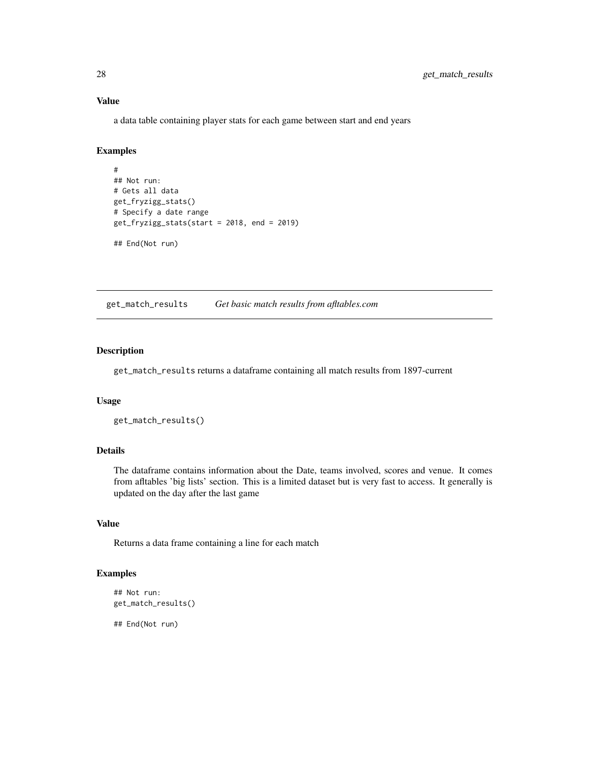a data table containing player stats for each game between start and end years

# Examples

```
#
## Not run:
# Gets all data
get_fryzigg_stats()
# Specify a date range
get_fryzigg_stats(start = 2018, end = 2019)
## End(Not run)
```
get\_match\_results *Get basic match results from afltables.com*

#### Description

get\_match\_results returns a dataframe containing all match results from 1897-current

#### Usage

get\_match\_results()

# Details

The dataframe contains information about the Date, teams involved, scores and venue. It comes from afltables 'big lists' section. This is a limited dataset but is very fast to access. It generally is updated on the day after the last game

# Value

Returns a data frame containing a line for each match

#### Examples

```
## Not run:
get_match_results()
```
<span id="page-27-0"></span>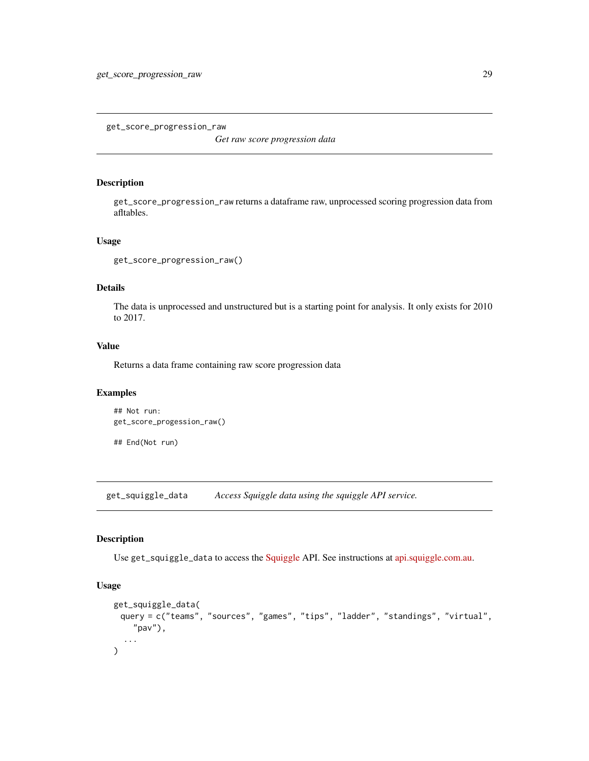<span id="page-28-0"></span>get\_score\_progression\_raw

*Get raw score progression data*

#### Description

get\_score\_progression\_raw returns a dataframe raw, unprocessed scoring progression data from afltables.

#### Usage

```
get_score_progression_raw()
```
# Details

The data is unprocessed and unstructured but is a starting point for analysis. It only exists for 2010 to 2017.

#### Value

Returns a data frame containing raw score progression data

#### Examples

```
## Not run:
get_score_progession_raw()
```
## End(Not run)

get\_squiggle\_data *Access Squiggle data using the squiggle API service.*

# Description

Use get\_squiggle\_data to access the [Squiggle](https://squiggle.com.au) API. See instructions at [api.squiggle.com.au.](https://api.squiggle.com.au)

# Usage

```
get_squiggle_data(
 query = c("teams", "sources", "games", "tips", "ladder", "standings", "virtual",
    "pav"),
  ...
)
```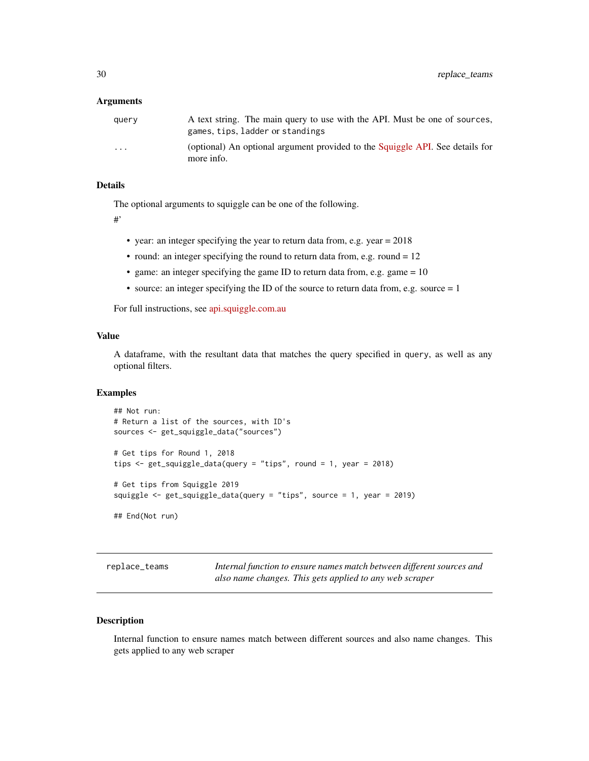#### <span id="page-29-0"></span>Arguments

| querv                   | A text string. The main query to use with the API. Must be one of sources,<br>games, tips, ladder or standings |
|-------------------------|----------------------------------------------------------------------------------------------------------------|
| $\cdot$ $\cdot$ $\cdot$ | (optional) An optional argument provided to the Squiggle API. See details for<br>more info.                    |

# Details

The optional arguments to squiggle can be one of the following.

#'

- year: an integer specifying the year to return data from, e.g. year = 2018
- round: an integer specifying the round to return data from, e.g. round = 12
- game: an integer specifying the game ID to return data from, e.g. game = 10
- source: an integer specifying the ID of the source to return data from, e.g. source  $= 1$

For full instructions, see [api.squiggle.com.au](https://api.squiggle.com.au)

# Value

A dataframe, with the resultant data that matches the query specified in query, as well as any optional filters.

#### Examples

```
## Not run:
# Return a list of the sources, with ID's
sources <- get_squiggle_data("sources")
# Get tips for Round 1, 2018
tips <- get_squiggle_data(query = "tips", round = 1, year = 2018)
# Get tips from Squiggle 2019
squiggle <- get_squiggle_data(query = "tips", source = 1, year = 2019)
## End(Not run)
```
replace\_teams *Internal function to ensure names match between different sources and also name changes. This gets applied to any web scraper*

# Description

Internal function to ensure names match between different sources and also name changes. This gets applied to any web scraper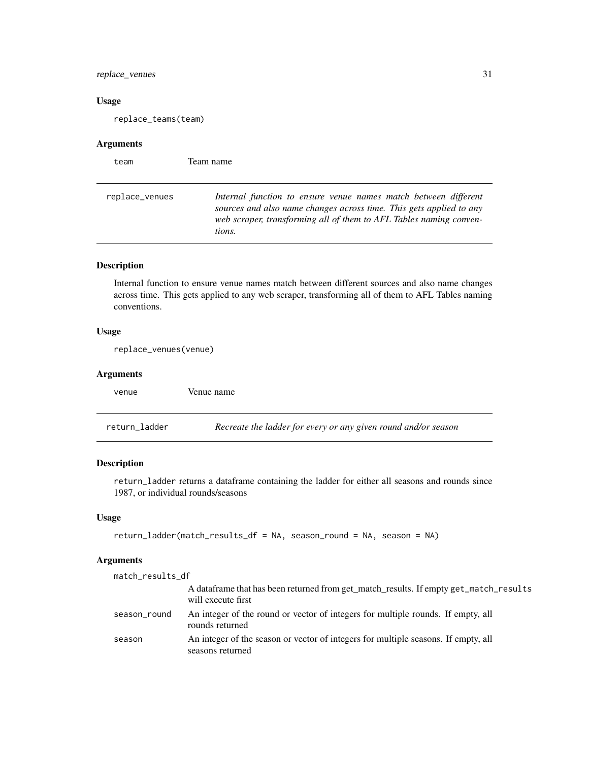# <span id="page-30-0"></span>replace\_venues 31

# Usage

replace\_teams(team)

# Arguments

| team           | Team name                                                                                                                                                                                                              |
|----------------|------------------------------------------------------------------------------------------------------------------------------------------------------------------------------------------------------------------------|
| replace_venues | Internal function to ensure venue names match between different<br>sources and also name changes across time. This gets applied to any<br>web scraper, transforming all of them to AFL Tables naming conven-<br>tions. |

# Description

Internal function to ensure venue names match between different sources and also name changes across time. This gets applied to any web scraper, transforming all of them to AFL Tables naming conventions.

# Usage

replace\_venues(venue)

# Arguments

venue Venue name

return\_ladder *Recreate the ladder for every or any given round and/or season*

# Description

return\_ladder returns a dataframe containing the ladder for either all seasons and rounds since 1987, or individual rounds/seasons

#### Usage

```
return_ladder(match_results_df = NA, season_round = NA, season = NA)
```
# Arguments

| match_results_df |                                                                                                              |
|------------------|--------------------------------------------------------------------------------------------------------------|
|                  | A data frame that has been returned from get_match_results. If empty get_match_results<br>will execute first |
| season_round     | An integer of the round or vector of integers for multiple rounds. If empty, all<br>rounds returned          |
| season           | An integer of the season or vector of integers for multiple seasons. If empty, all<br>seasons returned       |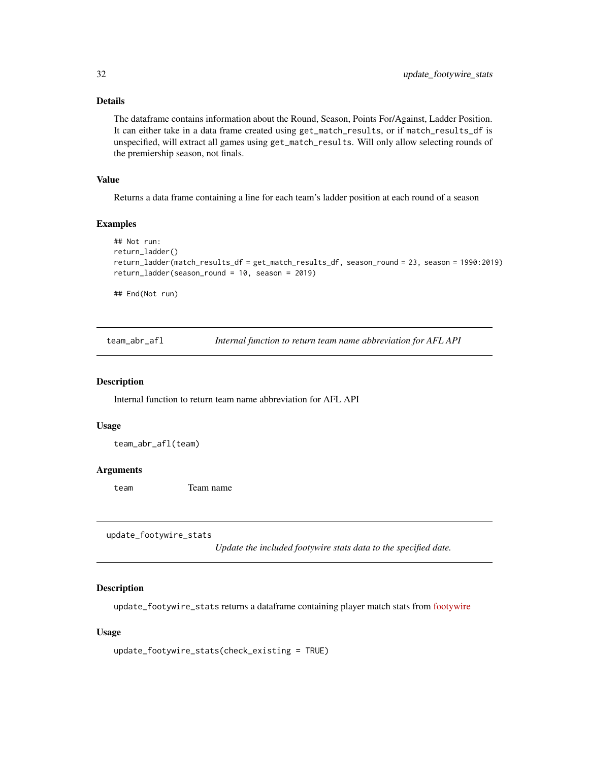# <span id="page-31-0"></span>Details

The dataframe contains information about the Round, Season, Points For/Against, Ladder Position. It can either take in a data frame created using get\_match\_results, or if match\_results\_df is unspecified, will extract all games using get\_match\_results. Will only allow selecting rounds of the premiership season, not finals.

# Value

Returns a data frame containing a line for each team's ladder position at each round of a season

#### Examples

```
## Not run:
return_ladder()
return_ladder(match_results_df = get_match_results_df, season_round = 23, season = 1990:2019)
return_ladder(season_round = 10, season = 2019)
```
## End(Not run)

team\_abr\_afl *Internal function to return team name abbreviation for AFL API*

#### Description

Internal function to return team name abbreviation for AFL API

#### Usage

team\_abr\_afl(team)

#### Arguments

team Team name

update\_footywire\_stats

*Update the included footywire stats data to the specified date.*

#### Description

update\_footywire\_stats returns a dataframe containing player match stats from [footywire](https://www.footywire.com)

#### Usage

```
update_footywire_stats(check_existing = TRUE)
```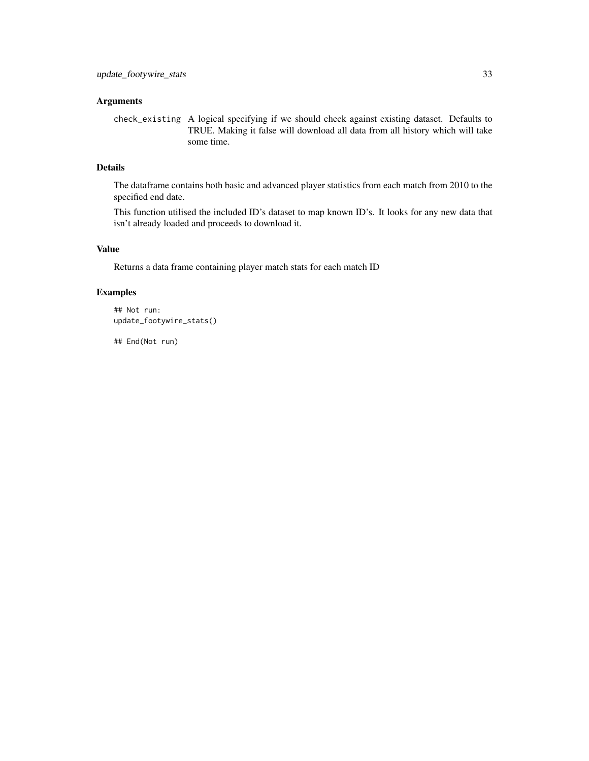# Arguments

check\_existing A logical specifying if we should check against existing dataset. Defaults to TRUE. Making it false will download all data from all history which will take some time.

#### Details

The dataframe contains both basic and advanced player statistics from each match from 2010 to the specified end date.

This function utilised the included ID's dataset to map known ID's. It looks for any new data that isn't already loaded and proceeds to download it.

# Value

Returns a data frame containing player match stats for each match ID

# Examples

```
## Not run:
update_footywire_stats()
```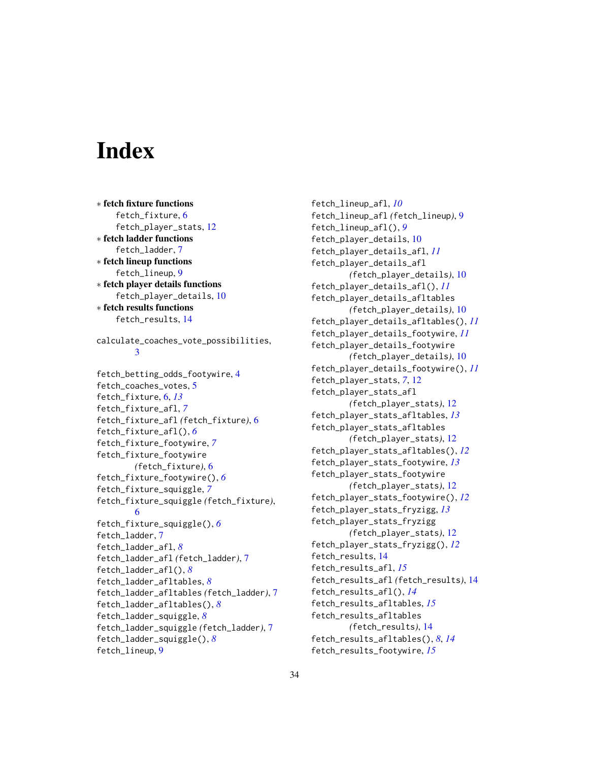# <span id="page-33-0"></span>**Index**

∗ fetch fixture functions fetch\_fixture, [6](#page-5-0) fetch\_player\_stats, [12](#page-11-0) ∗ fetch ladder functions fetch\_ladder, [7](#page-6-0) ∗ fetch lineup functions fetch\_lineup, [9](#page-8-0) ∗ fetch player details functions fetch\_player\_details, [10](#page-9-0) ∗ fetch results functions fetch\_results, [14](#page-13-0) calculate\_coaches\_vote\_possibilities, [3](#page-2-0) fetch\_betting\_odds\_footywire, [4](#page-3-0) fetch\_coaches\_votes, [5](#page-4-0) fetch\_fixture, [6,](#page-5-0) *[13](#page-12-0)* fetch\_fixture\_afl, *[7](#page-6-0)* fetch\_fixture\_afl *(*fetch\_fixture*)*, [6](#page-5-0) fetch\_fixture\_afl(), *[6](#page-5-0)* fetch\_fixture\_footywire, *[7](#page-6-0)* fetch\_fixture\_footywire *(*fetch\_fixture*)*, [6](#page-5-0) fetch\_fixture\_footywire(), *[6](#page-5-0)* fetch\_fixture\_squiggle, *[7](#page-6-0)* fetch\_fixture\_squiggle *(*fetch\_fixture*)*, [6](#page-5-0) fetch\_fixture\_squiggle(), *[6](#page-5-0)* fetch\_ladder, [7](#page-6-0) fetch\_ladder\_afl, *[8](#page-7-0)* fetch\_ladder\_afl *(*fetch\_ladder*)*, [7](#page-6-0) fetch\_ladder\_afl(), *[8](#page-7-0)* fetch\_ladder\_afltables, *[8](#page-7-0)* fetch\_ladder\_afltables *(*fetch\_ladder*)*, [7](#page-6-0) fetch\_ladder\_afltables(), *[8](#page-7-0)* fetch\_ladder\_squiggle, *[8](#page-7-0)* fetch\_ladder\_squiggle *(*fetch\_ladder*)*, [7](#page-6-0) fetch\_ladder\_squiggle(), *[8](#page-7-0)* fetch\_lineup, [9](#page-8-0)

fetch\_lineup\_afl, *[10](#page-9-0)* fetch\_lineup\_afl *(*fetch\_lineup*)*, [9](#page-8-0) fetch\_lineup\_afl(), *[9](#page-8-0)* fetch\_player\_details, [10](#page-9-0) fetch\_player\_details\_afl, *[11](#page-10-0)* fetch\_player\_details\_afl *(*fetch\_player\_details*)*, [10](#page-9-0) fetch\_player\_details\_afl(), *[11](#page-10-0)* fetch\_player\_details\_afltables *(*fetch\_player\_details*)*, [10](#page-9-0) fetch\_player\_details\_afltables(), *[11](#page-10-0)* fetch\_player\_details\_footywire, *[11](#page-10-0)* fetch\_player\_details\_footywire *(*fetch\_player\_details*)*, [10](#page-9-0) fetch\_player\_details\_footywire(), *[11](#page-10-0)* fetch\_player\_stats, *[7](#page-6-0)*, [12](#page-11-0) fetch\_player\_stats\_afl *(*fetch\_player\_stats*)*, [12](#page-11-0) fetch\_player\_stats\_afltables, *[13](#page-12-0)* fetch\_player\_stats\_afltables *(*fetch\_player\_stats*)*, [12](#page-11-0) fetch\_player\_stats\_afltables(), *[12](#page-11-0)* fetch\_player\_stats\_footywire, *[13](#page-12-0)* fetch\_player\_stats\_footywire *(*fetch\_player\_stats*)*, [12](#page-11-0) fetch\_player\_stats\_footywire(), *[12](#page-11-0)* fetch\_player\_stats\_fryzigg, *[13](#page-12-0)* fetch\_player\_stats\_fryzigg *(*fetch\_player\_stats*)*, [12](#page-11-0) fetch\_player\_stats\_fryzigg(), *[12](#page-11-0)* fetch\_results, [14](#page-13-0) fetch\_results\_afl, *[15](#page-14-0)* fetch\_results\_afl *(*fetch\_results*)*, [14](#page-13-0) fetch\_results\_afl(), *[14](#page-13-0)* fetch\_results\_afltables, *[15](#page-14-0)* fetch\_results\_afltables *(*fetch\_results*)*, [14](#page-13-0) fetch\_results\_afltables(), *[8](#page-7-0)*, *[14](#page-13-0)* fetch\_results\_footywire, *[15](#page-14-0)*